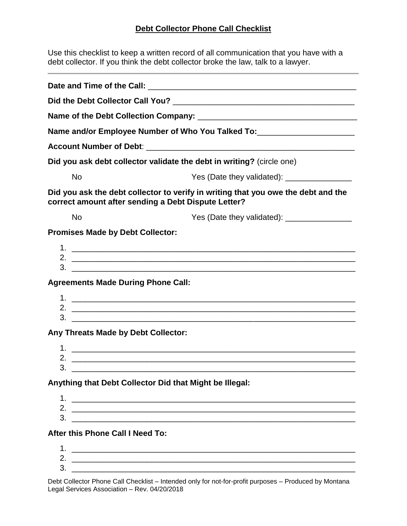## **Debt Collector Phone Call Checklist**

Use this checklist to keep a written record of all communication that you have with a debt collector. If you think the debt collector broke the law, talk to a lawyer.

| Name and/or Employee Number of Who You Talked To:_______________________________                                                                                                                                                                                                                                                                              |                                                                                                                       |
|---------------------------------------------------------------------------------------------------------------------------------------------------------------------------------------------------------------------------------------------------------------------------------------------------------------------------------------------------------------|-----------------------------------------------------------------------------------------------------------------------|
|                                                                                                                                                                                                                                                                                                                                                               |                                                                                                                       |
| Did you ask debt collector validate the debt in writing? (circle one)                                                                                                                                                                                                                                                                                         |                                                                                                                       |
| <b>No</b>                                                                                                                                                                                                                                                                                                                                                     | Yes (Date they validated): _________________                                                                          |
| Did you ask the debt collector to verify in writing that you owe the debt and the<br>correct amount after sending a Debt Dispute Letter?                                                                                                                                                                                                                      |                                                                                                                       |
| <b>No</b>                                                                                                                                                                                                                                                                                                                                                     |                                                                                                                       |
| <b>Promises Made by Debt Collector:</b>                                                                                                                                                                                                                                                                                                                       |                                                                                                                       |
|                                                                                                                                                                                                                                                                                                                                                               | $3.$ $\overline{\phantom{a}}$                                                                                         |
| <b>Agreements Made During Phone Call:</b>                                                                                                                                                                                                                                                                                                                     |                                                                                                                       |
|                                                                                                                                                                                                                                                                                                                                                               |                                                                                                                       |
|                                                                                                                                                                                                                                                                                                                                                               |                                                                                                                       |
| $3.$ $\frac{1}{2}$ $\frac{1}{2}$ $\frac{1}{2}$ $\frac{1}{2}$ $\frac{1}{2}$ $\frac{1}{2}$ $\frac{1}{2}$ $\frac{1}{2}$ $\frac{1}{2}$ $\frac{1}{2}$ $\frac{1}{2}$ $\frac{1}{2}$ $\frac{1}{2}$ $\frac{1}{2}$ $\frac{1}{2}$ $\frac{1}{2}$ $\frac{1}{2}$ $\frac{1}{2}$ $\frac{1}{2}$ $\frac{1}{2}$ $\frac{1}{2}$ $\frac{1}{$<br>Any Threats Made by Debt Collector: |                                                                                                                       |
|                                                                                                                                                                                                                                                                                                                                                               |                                                                                                                       |
|                                                                                                                                                                                                                                                                                                                                                               |                                                                                                                       |
| Anything that Debt Collector Did that Might be Illegal:                                                                                                                                                                                                                                                                                                       |                                                                                                                       |
|                                                                                                                                                                                                                                                                                                                                                               |                                                                                                                       |
| 3.                                                                                                                                                                                                                                                                                                                                                            |                                                                                                                       |
| <u> 1980 - Andrea Andrewski, amerikansk politik (d. 1980)</u><br>After this Phone Call I Need To:                                                                                                                                                                                                                                                             |                                                                                                                       |
| 1.                                                                                                                                                                                                                                                                                                                                                            |                                                                                                                       |
|                                                                                                                                                                                                                                                                                                                                                               | <u> 1999 - Johann Harry Harry Harry Harry Harry Harry Harry Harry Harry Harry Harry Harry Harry Harry Harry Harry</u> |
| 3.                                                                                                                                                                                                                                                                                                                                                            |                                                                                                                       |

Debt Collector Phone Call Checklist – Intended only for not-for-profit purposes – Produced by Montana Legal Services Association – Rev. 04/20/2018